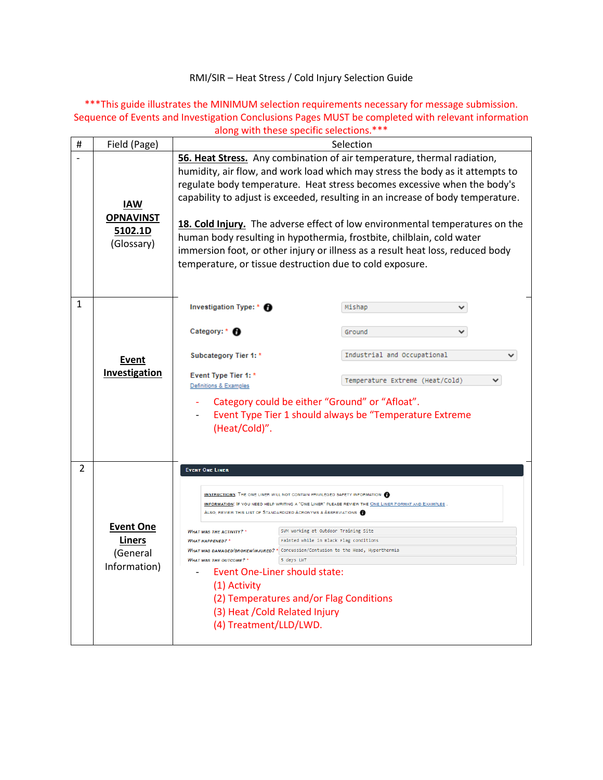RMI/SIR – Heat Stress / Cold Injury Selection Guide

\*\*\*This guide illustrates the MINIMUM selection requirements necessary for message submission. Sequence of Events and Investigation Conclusions Pages MUST be completed with relevant information along with these specific selections.\*\*\*

| # | Field (Page)                                                  | Selection                                                                                                                                                                                                                                                                                                                                                                                                                                                                                                                                                                                                                                                                                                                     |  |                             |   |  |
|---|---------------------------------------------------------------|-------------------------------------------------------------------------------------------------------------------------------------------------------------------------------------------------------------------------------------------------------------------------------------------------------------------------------------------------------------------------------------------------------------------------------------------------------------------------------------------------------------------------------------------------------------------------------------------------------------------------------------------------------------------------------------------------------------------------------|--|-----------------------------|---|--|
|   | <b>IAW</b><br><b>OPNAVINST</b><br>5102.1D<br>(Glossary)       | 56. Heat Stress. Any combination of air temperature, thermal radiation,<br>humidity, air flow, and work load which may stress the body as it attempts to<br>regulate body temperature. Heat stress becomes excessive when the body's<br>capability to adjust is exceeded, resulting in an increase of body temperature.<br>18. Cold Injury. The adverse effect of low environmental temperatures on the<br>human body resulting in hypothermia, frostbite, chilblain, cold water<br>immersion foot, or other injury or illness as a result heat loss, reduced body<br>temperature, or tissue destruction due to cold exposure.                                                                                                |  |                             |   |  |
| 1 | <u>Event</u><br>Investigation                                 | Investigation Type: * <b>A</b>                                                                                                                                                                                                                                                                                                                                                                                                                                                                                                                                                                                                                                                                                                |  | Mishap                      | ◡ |  |
|   |                                                               | Category: * <sup>6</sup>                                                                                                                                                                                                                                                                                                                                                                                                                                                                                                                                                                                                                                                                                                      |  | Ground                      |   |  |
|   |                                                               | Subcategory Tier 1: *                                                                                                                                                                                                                                                                                                                                                                                                                                                                                                                                                                                                                                                                                                         |  | Industrial and Occupational |   |  |
|   |                                                               | Event Type Tier 1: *<br>Temperature Extreme (Heat/Cold)<br>Definitions & Examples<br>Category could be either "Ground" or "Afloat".<br>Event Type Tier 1 should always be "Temperature Extreme<br>(Heat/Cold)".                                                                                                                                                                                                                                                                                                                                                                                                                                                                                                               |  |                             |   |  |
| 2 | <b>Event One</b><br><b>Liners</b><br>(General<br>Information) | <b>EVENT ONE LINER</b><br>INSTRUCTIONS: THE ONE LINER WILL NOT CONTAIN PRIVILEGED SAFETY INFORMATION<br>INFORMATION: IF YOU NEED HELP WRITING A "ONE LINER" PLEASE REVIEW THE ONE LINER FORMAT AND EXAMPLES<br>ALSO, REVIEW THIS LIST OF STANDARDIZED ACRONYMS & ABBREVIATIONS @<br>SVM working at Outdoor Training Site<br><b>WHAT WAS THE ACTIVITY?</b> *<br><b>WHAT HAPPENED?</b> *<br>Fainted while in Black Flag conditions<br>WHAT WAS DAMAGED/BROKEN/INJURED? * Concussion/Contusion to the Head, Hyperthermia<br>5 days LWT<br><b>WHAT WAS THE OUTCOME?</b> *<br>Event One-Liner should state:<br>(1) Activity<br>(2) Temperatures and/or Flag Conditions<br>(3) Heat / Cold Related Injury<br>(4) Treatment/LLD/LWD. |  |                             |   |  |